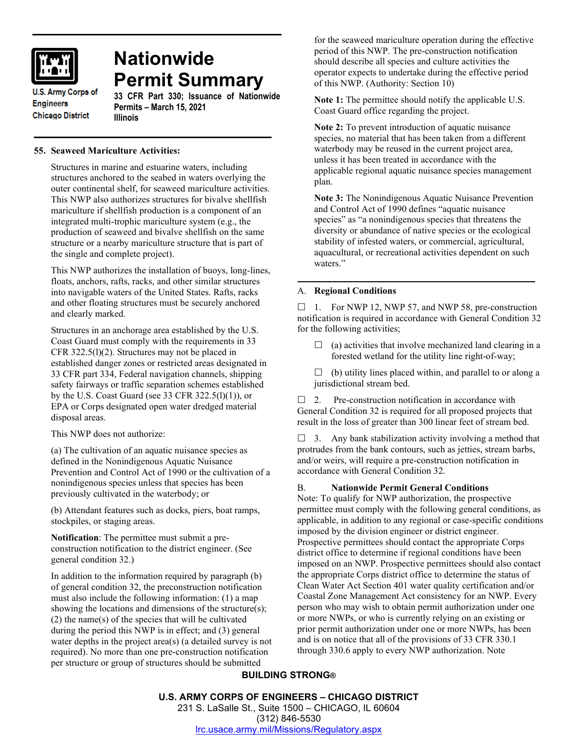

# **Nationwide Permit Summary**

**U.S. Army Corps of Engineers Chicago District** 

### **33 CFR Part 330; Issuance of Nationwide Permits – March 15, 2021 Illinois**

## **55. Seaweed Mariculture Activities:**

Structures in marine and estuarine waters, including structures anchored to the seabed in waters overlying the outer continental shelf, for seaweed mariculture activities. This NWP also authorizes structures for bivalve shellfish mariculture if shellfish production is a component of an integrated multi-trophic mariculture system (e.g., the production of seaweed and bivalve shellfish on the same structure or a nearby mariculture structure that is part of the single and complete project).

This NWP authorizes the installation of buoys, long-lines, floats, anchors, rafts, racks, and other similar structures into navigable waters of the United States. Rafts, racks and other floating structures must be securely anchored and clearly marked.

Structures in an anchorage area established by the U.S. Coast Guard must comply with the requirements in 33 CFR 322.5(l)(2). Structures may not be placed in established danger zones or restricted areas designated in 33 CFR part 334, Federal navigation channels, shipping safety fairways or traffic separation schemes established by the U.S. Coast Guard (see 33 CFR  $322.5(1)(1)$ ), or EPA or Corps designated open water dredged material disposal areas.

This NWP does not authorize:

(a) The cultivation of an aquatic nuisance species as defined in the Nonindigenous Aquatic Nuisance Prevention and Control Act of 1990 or the cultivation of a nonindigenous species unless that species has been previously cultivated in the waterbody; or

(b) Attendant features such as docks, piers, boat ramps, stockpiles, or staging areas.

**Notification**: The permittee must submit a preconstruction notification to the district engineer. (See general condition 32.)

In addition to the information required by paragraph (b) of general condition 32, the preconstruction notification must also include the following information: (1) a map showing the locations and dimensions of the structure(s); (2) the name(s) of the species that will be cultivated during the period this NWP is in effect; and (3) general water depths in the project area(s) (a detailed survey is not required). No more than one pre-construction notification per structure or group of structures should be submitted

for the seaweed mariculture operation during the effective period of this NWP. The pre-construction notification should describe all species and culture activities the operator expects to undertake during the effective period of this NWP. (Authority: Section 10)

**Note 1:** The permittee should notify the applicable U.S. Coast Guard office regarding the project.

**Note 2:** To prevent introduction of aquatic nuisance species, no material that has been taken from a different waterbody may be reused in the current project area, unless it has been treated in accordance with the applicable regional aquatic nuisance species management plan.

**Note 3:** The Nonindigenous Aquatic Nuisance Prevention and Control Act of 1990 defines "aquatic nuisance species" as "a nonindigenous species that threatens the diversity or abundance of native species or the ecological stability of infested waters, or commercial, agricultural, aquacultural, or recreational activities dependent on such waters."

## A. **Regional Conditions**

 $\Box$  1. For NWP 12, NWP 57, and NWP 58, pre-construction notification is required in accordance with General Condition 32 for the following activities;

- $\Box$  (a) activities that involve mechanized land clearing in a forested wetland for the utility line right-of-way;
- $\Box$  (b) utility lines placed within, and parallel to or along a jurisdictional stream bed.

 $\Box$  2. Pre-construction notification in accordance with General Condition 32 is required for all proposed projects that result in the loss of greater than 300 linear feet of stream bed.

 $\Box$  3. Any bank stabilization activity involving a method that protrudes from the bank contours, such as jetties, stream barbs, and/or weirs, will require a pre-construction notification in accordance with General Condition 32.

## B. **Nationwide Permit General Conditions**

Note: To qualify for NWP authorization, the prospective permittee must comply with the following general conditions, as applicable, in addition to any regional or case-specific conditions imposed by the division engineer or district engineer. Prospective permittees should contact the appropriate Corps district office to determine if regional conditions have been imposed on an NWP. Prospective permittees should also contact the appropriate Corps district office to determine the status of Clean Water Act Section 401 water quality certification and/or Coastal Zone Management Act consistency for an NWP. Every person who may wish to obtain permit authorization under one or more NWPs, or who is currently relying on an existing or prior permit authorization under one or more NWPs, has been and is on notice that all of the provisions of 33 CFR 330.1 through 330.6 apply to every NWP authorization. Note

## **BUILDING STRONG®**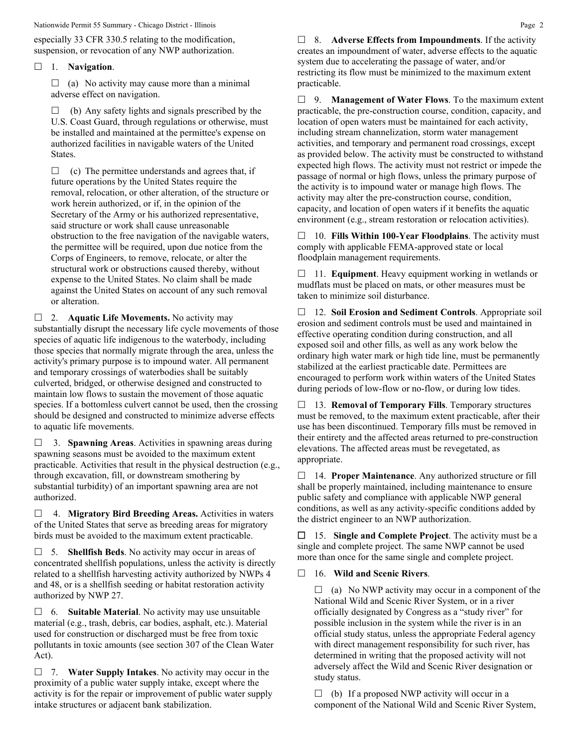especially 33 CFR 330.5 relating to the modification, suspension, or revocation of any NWP authorization.

## 1. **Navigation**.

 $\Box$  (a) No activity may cause more than a minimal adverse effect on navigation.

 $\Box$  (b) Any safety lights and signals prescribed by the U.S. Coast Guard, through regulations or otherwise, must be installed and maintained at the permittee's expense on authorized facilities in navigable waters of the United States.

 $\Box$  (c) The permittee understands and agrees that, if future operations by the United States require the removal, relocation, or other alteration, of the structure or work herein authorized, or if, in the opinion of the Secretary of the Army or his authorized representative, said structure or work shall cause unreasonable obstruction to the free navigation of the navigable waters, the permittee will be required, upon due notice from the Corps of Engineers, to remove, relocate, or alter the structural work or obstructions caused thereby, without expense to the United States. No claim shall be made against the United States on account of any such removal or alteration.

□ 2. **Aquatic Life Movements.** No activity may substantially disrupt the necessary life cycle movements of those species of aquatic life indigenous to the waterbody, including those species that normally migrate through the area, unless the activity's primary purpose is to impound water. All permanent and temporary crossings of waterbodies shall be suitably culverted, bridged, or otherwise designed and constructed to maintain low flows to sustain the movement of those aquatic species. If a bottomless culvert cannot be used, then the crossing should be designed and constructed to minimize adverse effects to aquatic life movements.

 3. **Spawning Areas**. Activities in spawning areas during spawning seasons must be avoided to the maximum extent practicable. Activities that result in the physical destruction (e.g., through excavation, fill, or downstream smothering by substantial turbidity) of an important spawning area are not authorized.

 4. **Migratory Bird Breeding Areas.** Activities in waters of the United States that serve as breeding areas for migratory birds must be avoided to the maximum extent practicable.

 5. **Shellfish Beds**. No activity may occur in areas of concentrated shellfish populations, unless the activity is directly related to a shellfish harvesting activity authorized by NWPs 4 and 48, or is a shellfish seeding or habitat restoration activity authorized by NWP 27.

 6. **Suitable Material**. No activity may use unsuitable material (e.g., trash, debris, car bodies, asphalt, etc.). Material used for construction or discharged must be free from toxic pollutants in toxic amounts (see section 307 of the Clean Water Act).

 7. **Water Supply Intakes**. No activity may occur in the proximity of a public water supply intake, except where the activity is for the repair or improvement of public water supply intake structures or adjacent bank stabilization.

 8. **Adverse Effects from Impoundments**. If the activity creates an impoundment of water, adverse effects to the aquatic system due to accelerating the passage of water, and/or restricting its flow must be minimized to the maximum extent practicable.

 9. **Management of Water Flows**. To the maximum extent practicable, the pre-construction course, condition, capacity, and location of open waters must be maintained for each activity, including stream channelization, storm water management activities, and temporary and permanent road crossings, except as provided below. The activity must be constructed to withstand expected high flows. The activity must not restrict or impede the passage of normal or high flows, unless the primary purpose of the activity is to impound water or manage high flows. The activity may alter the pre-construction course, condition, capacity, and location of open waters if it benefits the aquatic environment (e.g., stream restoration or relocation activities).

 10. **Fills Within 100-Year Floodplains**. The activity must comply with applicable FEMA-approved state or local floodplain management requirements.

 11. **Equipment**. Heavy equipment working in wetlands or mudflats must be placed on mats, or other measures must be taken to minimize soil disturbance.

 12. **Soil Erosion and Sediment Controls**. Appropriate soil erosion and sediment controls must be used and maintained in effective operating condition during construction, and all exposed soil and other fills, as well as any work below the ordinary high water mark or high tide line, must be permanently stabilized at the earliest practicable date. Permittees are encouraged to perform work within waters of the United States during periods of low-flow or no-flow, or during low tides.

 13. **Removal of Temporary Fills**. Temporary structures must be removed, to the maximum extent practicable, after their use has been discontinued. Temporary fills must be removed in their entirety and the affected areas returned to pre-construction elevations. The affected areas must be revegetated, as appropriate.

 14. **Proper Maintenance**. Any authorized structure or fill shall be properly maintained, including maintenance to ensure public safety and compliance with applicable NWP general conditions, as well as any activity-specific conditions added by the district engineer to an NWP authorization.

 15. **Single and Complete Project**. The activity must be a single and complete project. The same NWP cannot be used more than once for the same single and complete project.

## 16. **Wild and Scenic Rivers**.

 $\Box$  (a) No NWP activity may occur in a component of the National Wild and Scenic River System, or in a river officially designated by Congress as a "study river" for possible inclusion in the system while the river is in an official study status, unless the appropriate Federal agency with direct management responsibility for such river, has determined in writing that the proposed activity will not adversely affect the Wild and Scenic River designation or study status.

 $\Box$  (b) If a proposed NWP activity will occur in a component of the National Wild and Scenic River System,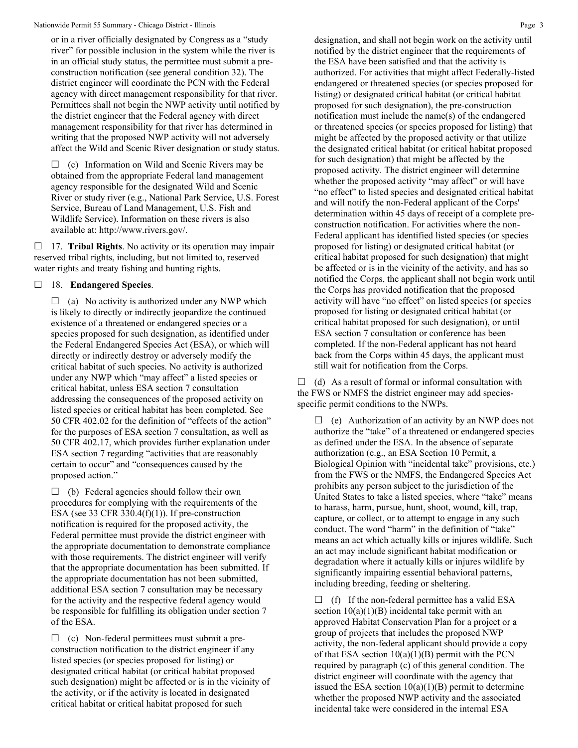or in a river officially designated by Congress as a "study river" for possible inclusion in the system while the river is in an official study status, the permittee must submit a preconstruction notification (see general condition 32). The district engineer will coordinate the PCN with the Federal agency with direct management responsibility for that river. Permittees shall not begin the NWP activity until notified by the district engineer that the Federal agency with direct management responsibility for that river has determined in writing that the proposed NWP activity will not adversely affect the Wild and Scenic River designation or study status.

 $\Box$  (c) Information on Wild and Scenic Rivers may be obtained from the appropriate Federal land management agency responsible for the designated Wild and Scenic River or study river (e.g., National Park Service, U.S. Forest Service, Bureau of Land Management, U.S. Fish and Wildlife Service). Information on these rivers is also available at: http://www.rivers.gov/.

 17. **Tribal Rights**. No activity or its operation may impair reserved tribal rights, including, but not limited to, reserved water rights and treaty fishing and hunting rights.

#### 18. **Endangered Species**.

 $\Box$  (a) No activity is authorized under any NWP which is likely to directly or indirectly jeopardize the continued existence of a threatened or endangered species or a species proposed for such designation, as identified under the Federal Endangered Species Act (ESA), or which will directly or indirectly destroy or adversely modify the critical habitat of such species. No activity is authorized under any NWP which "may affect" a listed species or critical habitat, unless ESA section 7 consultation addressing the consequences of the proposed activity on listed species or critical habitat has been completed. See 50 CFR 402.02 for the definition of "effects of the action" for the purposes of ESA section 7 consultation, as well as 50 CFR 402.17, which provides further explanation under ESA section 7 regarding "activities that are reasonably certain to occur" and "consequences caused by the proposed action."

 $\Box$  (b) Federal agencies should follow their own procedures for complying with the requirements of the ESA (see 33 CFR 330.4 $(f)(1)$ ). If pre-construction notification is required for the proposed activity, the Federal permittee must provide the district engineer with the appropriate documentation to demonstrate compliance with those requirements. The district engineer will verify that the appropriate documentation has been submitted. If the appropriate documentation has not been submitted, additional ESA section 7 consultation may be necessary for the activity and the respective federal agency would be responsible for fulfilling its obligation under section 7 of the ESA.

 $\Box$  (c) Non-federal permittees must submit a preconstruction notification to the district engineer if any listed species (or species proposed for listing) or designated critical habitat (or critical habitat proposed such designation) might be affected or is in the vicinity of the activity, or if the activity is located in designated critical habitat or critical habitat proposed for such

designation, and shall not begin work on the activity until notified by the district engineer that the requirements of the ESA have been satisfied and that the activity is authorized. For activities that might affect Federally-listed endangered or threatened species (or species proposed for listing) or designated critical habitat (or critical habitat proposed for such designation), the pre-construction notification must include the name(s) of the endangered or threatened species (or species proposed for listing) that might be affected by the proposed activity or that utilize the designated critical habitat (or critical habitat proposed for such designation) that might be affected by the

proposed activity. The district engineer will determine whether the proposed activity "may affect" or will have "no effect" to listed species and designated critical habitat and will notify the non-Federal applicant of the Corps' determination within 45 days of receipt of a complete preconstruction notification. For activities where the non-Federal applicant has identified listed species (or species proposed for listing) or designated critical habitat (or critical habitat proposed for such designation) that might be affected or is in the vicinity of the activity, and has so notified the Corps, the applicant shall not begin work until the Corps has provided notification that the proposed activity will have "no effect" on listed species (or species proposed for listing or designated critical habitat (or critical habitat proposed for such designation), or until ESA section 7 consultation or conference has been completed. If the non-Federal applicant has not heard back from the Corps within 45 days, the applicant must still wait for notification from the Corps.

 $\Box$  (d) As a result of formal or informal consultation with the FWS or NMFS the district engineer may add speciesspecific permit conditions to the NWPs.

 $\Box$  (e) Authorization of an activity by an NWP does not authorize the "take" of a threatened or endangered species as defined under the ESA. In the absence of separate authorization (e.g., an ESA Section 10 Permit, a Biological Opinion with "incidental take" provisions, etc.) from the FWS or the NMFS, the Endangered Species Act prohibits any person subject to the jurisdiction of the United States to take a listed species, where "take" means to harass, harm, pursue, hunt, shoot, wound, kill, trap, capture, or collect, or to attempt to engage in any such conduct. The word "harm" in the definition of "take" means an act which actually kills or injures wildlife. Such an act may include significant habitat modification or degradation where it actually kills or injures wildlife by significantly impairing essential behavioral patterns, including breeding, feeding or sheltering.

 $\Box$  (f) If the non-federal permittee has a valid ESA section  $10(a)(1)(B)$  incidental take permit with an approved Habitat Conservation Plan for a project or a group of projects that includes the proposed NWP activity, the non-federal applicant should provide a copy of that ESA section  $10(a)(1)(B)$  permit with the PCN required by paragraph (c) of this general condition. The district engineer will coordinate with the agency that issued the ESA section  $10(a)(1)(B)$  permit to determine whether the proposed NWP activity and the associated incidental take were considered in the internal ESA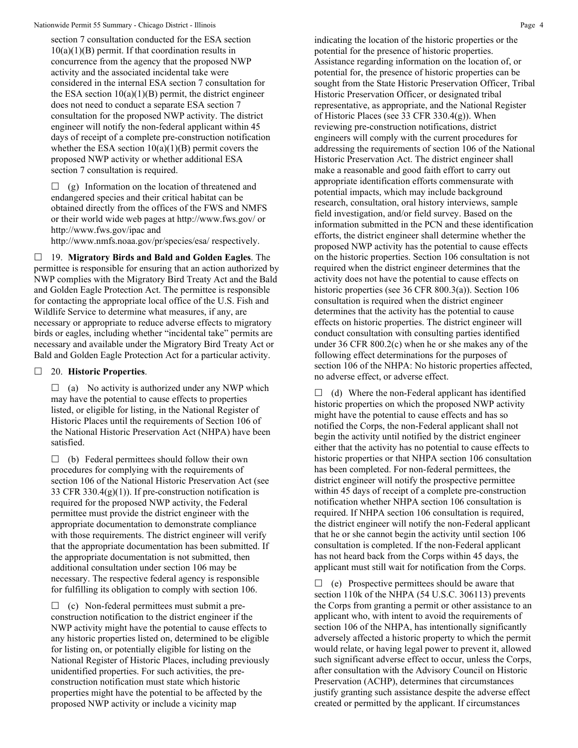section 7 consultation conducted for the ESA section  $10(a)(1)(B)$  permit. If that coordination results in concurrence from the agency that the proposed NWP activity and the associated incidental take were considered in the internal ESA section 7 consultation for the ESA section  $10(a)(1)(B)$  permit, the district engineer does not need to conduct a separate ESA section 7 consultation for the proposed NWP activity. The district engineer will notify the non-federal applicant within 45 days of receipt of a complete pre-construction notification whether the ESA section 10(a)(1)(B) permit covers the proposed NWP activity or whether additional ESA section 7 consultation is required.

 $\Box$  (g) Information on the location of threatened and endangered species and their critical habitat can be obtained directly from the offices of the FWS and NMFS or their world wide web pages at http://www.fws.gov/ or http://www.fws.gov/ipac and

http://www.nmfs.noaa.gov/pr/species/esa/ respectively.

 19. **Migratory Birds and Bald and Golden Eagles**. The permittee is responsible for ensuring that an action authorized by NWP complies with the Migratory Bird Treaty Act and the Bald and Golden Eagle Protection Act. The permittee is responsible for contacting the appropriate local office of the U.S. Fish and Wildlife Service to determine what measures, if any, are necessary or appropriate to reduce adverse effects to migratory birds or eagles, including whether "incidental take" permits are necessary and available under the Migratory Bird Treaty Act or Bald and Golden Eagle Protection Act for a particular activity.

#### 20. **Historic Properties**.

 $\Box$  (a) No activity is authorized under any NWP which may have the potential to cause effects to properties listed, or eligible for listing, in the National Register of Historic Places until the requirements of Section 106 of the National Historic Preservation Act (NHPA) have been satisfied.

 $\Box$  (b) Federal permittees should follow their own procedures for complying with the requirements of section 106 of the National Historic Preservation Act (see 33 CFR 330.4 $(g)(1)$ ). If pre-construction notification is required for the proposed NWP activity, the Federal permittee must provide the district engineer with the appropriate documentation to demonstrate compliance with those requirements. The district engineer will verify that the appropriate documentation has been submitted. If the appropriate documentation is not submitted, then additional consultation under section 106 may be necessary. The respective federal agency is responsible for fulfilling its obligation to comply with section 106.

 $\Box$  (c) Non-federal permittees must submit a preconstruction notification to the district engineer if the NWP activity might have the potential to cause effects to any historic properties listed on, determined to be eligible for listing on, or potentially eligible for listing on the National Register of Historic Places, including previously unidentified properties. For such activities, the preconstruction notification must state which historic properties might have the potential to be affected by the proposed NWP activity or include a vicinity map

indicating the location of the historic properties or the potential for the presence of historic properties. Assistance regarding information on the location of, or potential for, the presence of historic properties can be sought from the State Historic Preservation Officer, Tribal Historic Preservation Officer, or designated tribal representative, as appropriate, and the National Register of Historic Places (see 33 CFR 330.4(g)). When reviewing pre-construction notifications, district engineers will comply with the current procedures for addressing the requirements of section 106 of the National Historic Preservation Act. The district engineer shall make a reasonable and good faith effort to carry out appropriate identification efforts commensurate with potential impacts, which may include background research, consultation, oral history interviews, sample field investigation, and/or field survey. Based on the information submitted in the PCN and these identification efforts, the district engineer shall determine whether the proposed NWP activity has the potential to cause effects on the historic properties. Section 106 consultation is not required when the district engineer determines that the activity does not have the potential to cause effects on historic properties (see 36 CFR 800.3(a)). Section 106 consultation is required when the district engineer determines that the activity has the potential to cause effects on historic properties. The district engineer will conduct consultation with consulting parties identified under 36 CFR 800.2(c) when he or she makes any of the following effect determinations for the purposes of section 106 of the NHPA: No historic properties affected, no adverse effect, or adverse effect.

 $\Box$  (d) Where the non-Federal applicant has identified historic properties on which the proposed NWP activity might have the potential to cause effects and has so notified the Corps, the non-Federal applicant shall not begin the activity until notified by the district engineer either that the activity has no potential to cause effects to historic properties or that NHPA section 106 consultation has been completed. For non-federal permittees, the district engineer will notify the prospective permittee within 45 days of receipt of a complete pre-construction notification whether NHPA section 106 consultation is required. If NHPA section 106 consultation is required, the district engineer will notify the non-Federal applicant that he or she cannot begin the activity until section 106 consultation is completed. If the non-Federal applicant has not heard back from the Corps within 45 days, the applicant must still wait for notification from the Corps.

 $\Box$  (e) Prospective permittees should be aware that section 110k of the NHPA (54 U.S.C. 306113) prevents the Corps from granting a permit or other assistance to an applicant who, with intent to avoid the requirements of section 106 of the NHPA, has intentionally significantly adversely affected a historic property to which the permit would relate, or having legal power to prevent it, allowed such significant adverse effect to occur, unless the Corps, after consultation with the Advisory Council on Historic Preservation (ACHP), determines that circumstances justify granting such assistance despite the adverse effect created or permitted by the applicant. If circumstances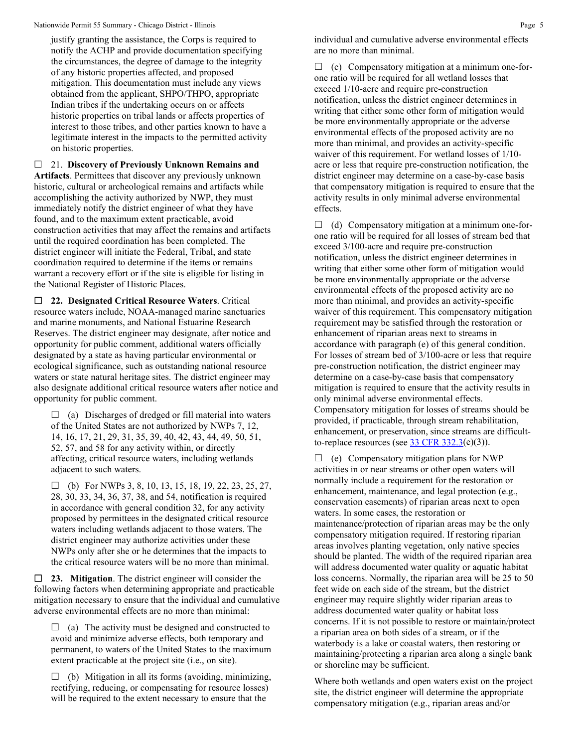justify granting the assistance, the Corps is required to notify the ACHP and provide documentation specifying the circumstances, the degree of damage to the integrity of any historic properties affected, and proposed mitigation. This documentation must include any views obtained from the applicant, SHPO/THPO, appropriate Indian tribes if the undertaking occurs on or affects historic properties on tribal lands or affects properties of interest to those tribes, and other parties known to have a legitimate interest in the impacts to the permitted activity on historic properties.

 21. **Discovery of Previously Unknown Remains and Artifacts**. Permittees that discover any previously unknown historic, cultural or archeological remains and artifacts while accomplishing the activity authorized by NWP, they must immediately notify the district engineer of what they have found, and to the maximum extent practicable, avoid construction activities that may affect the remains and artifacts until the required coordination has been completed. The district engineer will initiate the Federal, Tribal, and state coordination required to determine if the items or remains warrant a recovery effort or if the site is eligible for listing in the National Register of Historic Places.

 **22. Designated Critical Resource Waters**. Critical resource waters include, NOAA-managed marine sanctuaries and marine monuments, and National Estuarine Research Reserves. The district engineer may designate, after notice and opportunity for public comment, additional waters officially designated by a state as having particular environmental or ecological significance, such as outstanding national resource waters or state natural heritage sites. The district engineer may also designate additional critical resource waters after notice and opportunity for public comment.

 $\Box$  (a) Discharges of dredged or fill material into waters of the United States are not authorized by NWPs 7, 12, 14, 16, 17, 21, 29, 31, 35, 39, 40, 42, 43, 44, 49, 50, 51, 52, 57, and 58 for any activity within, or directly affecting, critical resource waters, including wetlands adjacent to such waters.

 $\Box$  (b) For NWPs 3, 8, 10, 13, 15, 18, 19, 22, 23, 25, 27, 28, 30, 33, 34, 36, 37, 38, and 54, notification is required in accordance with general condition 32, for any activity proposed by permittees in the designated critical resource waters including wetlands adjacent to those waters. The district engineer may authorize activities under these NWPs only after she or he determines that the impacts to the critical resource waters will be no more than minimal.

 **23. Mitigation**. The district engineer will consider the following factors when determining appropriate and practicable mitigation necessary to ensure that the individual and cumulative adverse environmental effects are no more than minimal:

 $\Box$  (a) The activity must be designed and constructed to avoid and minimize adverse effects, both temporary and permanent, to waters of the United States to the maximum extent practicable at the project site (i.e., on site).

 $\Box$  (b) Mitigation in all its forms (avoiding, minimizing, rectifying, reducing, or compensating for resource losses) will be required to the extent necessary to ensure that the

individual and cumulative adverse environmental effects are no more than minimal.

 $\Box$  (c) Compensatory mitigation at a minimum one-forone ratio will be required for all wetland losses that exceed 1/10-acre and require pre-construction notification, unless the district engineer determines in writing that either some other form of mitigation would be more environmentally appropriate or the adverse environmental effects of the proposed activity are no more than minimal, and provides an activity-specific waiver of this requirement. For wetland losses of 1/10 acre or less that require pre-construction notification, the district engineer may determine on a case-by-case basis that compensatory mitigation is required to ensure that the activity results in only minimal adverse environmental effects.

 $\Box$  (d) Compensatory mitigation at a minimum one-forone ratio will be required for all losses of stream bed that exceed 3/100-acre and require pre-construction notification, unless the district engineer determines in writing that either some other form of mitigation would be more environmentally appropriate or the adverse environmental effects of the proposed activity are no more than minimal, and provides an activity-specific waiver of this requirement. This compensatory mitigation requirement may be satisfied through the restoration or enhancement of riparian areas next to streams in accordance with paragraph (e) of this general condition. For losses of stream bed of 3/100-acre or less that require pre-construction notification, the district engineer may determine on a case-by-case basis that compensatory mitigation is required to ensure that the activity results in only minimal adverse environmental effects. Compensatory mitigation for losses of streams should be provided, if practicable, through stream rehabilitation, enhancement, or preservation, since streams are difficultto-replace resources (see  $33 \text{ CFR } 332.3$ (e)(3)).

 $\Box$  (e) Compensatory mitigation plans for NWP activities in or near streams or other open waters will normally include a requirement for the restoration or enhancement, maintenance, and legal protection (e.g., conservation easements) of riparian areas next to open waters. In some cases, the restoration or maintenance/protection of riparian areas may be the only compensatory mitigation required. If restoring riparian areas involves planting vegetation, only native species should be planted. The width of the required riparian area will address documented water quality or aquatic habitat loss concerns. Normally, the riparian area will be 25 to 50 feet wide on each side of the stream, but the district engineer may require slightly wider riparian areas to address documented water quality or habitat loss concerns. If it is not possible to restore or maintain/protect a riparian area on both sides of a stream, or if the waterbody is a lake or coastal waters, then restoring or maintaining/protecting a riparian area along a single bank or shoreline may be sufficient.

Where both wetlands and open waters exist on the project site, the district engineer will determine the appropriate compensatory mitigation (e.g., riparian areas and/or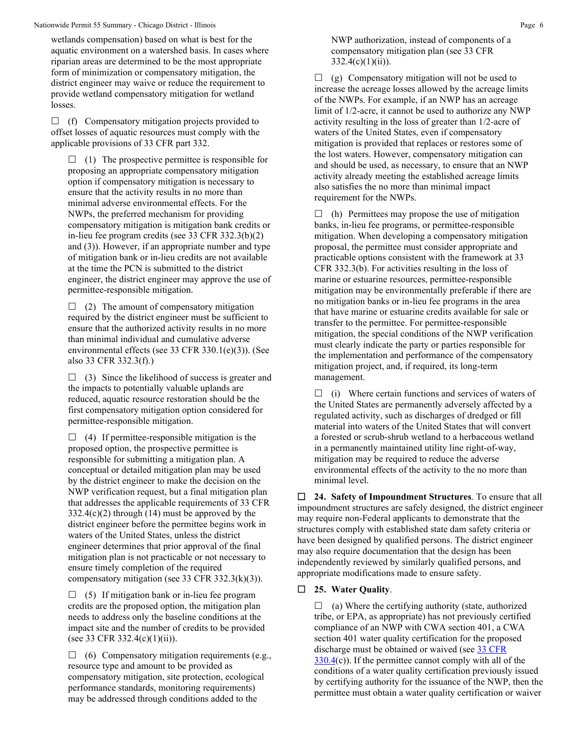wetlands compensation) based on what is best for the aquatic environment on a watershed basis. In cases where riparian areas are determined to be the most appropriate form of minimization or compensatory mitigation, the district engineer may waive or reduce the requirement to provide wetland compensatory mitigation for wetland losses.

 $\Box$  (f) Compensatory mitigation projects provided to offset losses of aquatic resources must comply with the applicable provisions of 33 CFR part 332.

 $\Box$  (1) The prospective permittee is responsible for proposing an appropriate compensatory mitigation option if compensatory mitigation is necessary to ensure that the activity results in no more than minimal adverse environmental effects. For the NWPs, the preferred mechanism for providing compensatory mitigation is mitigation bank credits or in-lieu fee program credits (see 33 CFR 332.3(b)(2) and (3)). However, if an appropriate number and type of mitigation bank or in-lieu credits are not available at the time the PCN is submitted to the district engineer, the district engineer may approve the use of permittee-responsible mitigation.

 $\Box$  (2) The amount of compensatory mitigation required by the district engineer must be sufficient to ensure that the authorized activity results in no more than minimal individual and cumulative adverse environmental effects (see 33 CFR 330.1(e)(3)). (See also 33 CFR 332.3(f).)

 $\Box$  (3) Since the likelihood of success is greater and the impacts to potentially valuable uplands are reduced, aquatic resource restoration should be the first compensatory mitigation option considered for permittee-responsible mitigation.

 $\Box$  (4) If permittee-responsible mitigation is the proposed option, the prospective permittee is responsible for submitting a mitigation plan. A conceptual or detailed mitigation plan may be used by the district engineer to make the decision on the NWP verification request, but a final mitigation plan that addresses the applicable requirements of 33 CFR  $332.4(c)(2)$  through (14) must be approved by the district engineer before the permittee begins work in waters of the United States, unless the district engineer determines that prior approval of the final mitigation plan is not practicable or not necessary to ensure timely completion of the required compensatory mitigation (see 33 CFR 332.3(k)(3)).

 $\Box$  (5) If mitigation bank or in-lieu fee program credits are the proposed option, the mitigation plan needs to address only the baseline conditions at the impact site and the number of credits to be provided (see 33 CFR 332.4(c)(1)(ii)).

 $\Box$  (6) Compensatory mitigation requirements (e.g., resource type and amount to be provided as compensatory mitigation, site protection, ecological performance standards, monitoring requirements) may be addressed through conditions added to the

NWP authorization, instead of components of a compensatory mitigation plan (see 33 CFR  $332.4(c)(1)(ii)$ ).

 $\Box$  (g) Compensatory mitigation will not be used to increase the acreage losses allowed by the acreage limits of the NWPs. For example, if an NWP has an acreage limit of 1/2-acre, it cannot be used to authorize any NWP activity resulting in the loss of greater than 1/2-acre of waters of the United States, even if compensatory mitigation is provided that replaces or restores some of the lost waters. However, compensatory mitigation can and should be used, as necessary, to ensure that an NWP activity already meeting the established acreage limits also satisfies the no more than minimal impact requirement for the NWPs.

 $\Box$  (h) Permittees may propose the use of mitigation banks, in-lieu fee programs, or permittee-responsible mitigation. When developing a compensatory mitigation proposal, the permittee must consider appropriate and practicable options consistent with the framework at 33 CFR 332.3(b). For activities resulting in the loss of marine or estuarine resources, permittee-responsible mitigation may be environmentally preferable if there are no mitigation banks or in-lieu fee programs in the area that have marine or estuarine credits available for sale or transfer to the permittee. For permittee-responsible mitigation, the special conditions of the NWP verification must clearly indicate the party or parties responsible for the implementation and performance of the compensatory mitigation project, and, if required, its long-term management.

 $\Box$  (i) Where certain functions and services of waters of the United States are permanently adversely affected by a regulated activity, such as discharges of dredged or fill material into waters of the United States that will convert a forested or scrub-shrub wetland to a herbaceous wetland in a permanently maintained utility line right-of-way, mitigation may be required to reduce the adverse environmental effects of the activity to the no more than minimal level.

 **24. Safety of Impoundment Structures**. To ensure that all impoundment structures are safely designed, the district engineer may require non-Federal applicants to demonstrate that the structures comply with established state dam safety criteria or have been designed by qualified persons. The district engineer may also require documentation that the design has been independently reviewed by similarly qualified persons, and appropriate modifications made to ensure safety.

## **25. Water Quality**.

 $\Box$  (a) Where the certifying authority (state, authorized tribe, or EPA, as appropriate) has not previously certified compliance of an NWP with CWA section 401, a CWA section 401 water quality certification for the proposed discharge must be obtained or waived (see 33 CFR  $330.4(c)$  $330.4(c)$ ). If the permittee cannot comply with all of the conditions of a water quality certification previously issued by certifying authority for the issuance of the NWP, then the permittee must obtain a water quality certification or waiver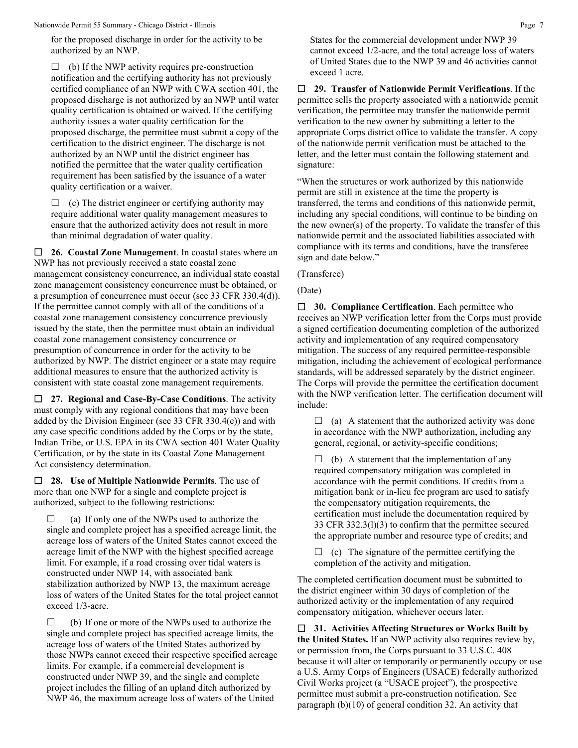for the proposed discharge in order for the activity to be authorized by an NWP.

 $\Box$  (b) If the NWP activity requires pre-construction notification and the certifying authority has not previously certified compliance of an NWP with CWA section 401, the proposed discharge is not authorized by an NWP until water quality certification is obtained or waived. If the certifying authority issues a water quality certification for the proposed discharge, the permittee must submit a copy of the certification to the district engineer. The discharge is not authorized by an NWP until the district engineer has notified the permittee that the water quality certification requirement has been satisfied by the issuance of a water quality certification or a waiver.

 $\Box$  (c) The district engineer or certifying authority may require additional water quality management measures to ensure that the authorized activity does not result in more than minimal degradation of water quality.

 **26. Coastal Zone Management**. In coastal states where an NWP has not previously received a state coastal zone management consistency concurrence, an individual state coastal zone management consistency concurrence must be obtained, or a presumption of concurrence must occur (see 33 CFR 330.4(d)). If the permittee cannot comply with all of the conditions of a coastal zone management consistency concurrence previously issued by the state, then the permittee must obtain an individual coastal zone management consistency concurrence or presumption of concurrence in order for the activity to be authorized by NWP. The district engineer or a state may require additional measures to ensure that the authorized activity is consistent with state coastal zone management requirements.

 **27. Regional and Case-By-Case Conditions**. The activity must comply with any regional conditions that may have been added by the Division Engineer (see 33 CFR 330.4(e)) and with any case specific conditions added by the Corps or by the state, Indian Tribe, or U.S. EPA in its CWA section 401 Water Quality Certification, or by the state in its Coastal Zone Management Act consistency determination.

 **28. Use of Multiple Nationwide Permits**. The use of more than one NWP for a single and complete project is authorized, subject to the following restrictions:

 $\Box$  (a) If only one of the NWPs used to authorize the single and complete project has a specified acreage limit, the acreage loss of waters of the United States cannot exceed the acreage limit of the NWP with the highest specified acreage limit. For example, if a road crossing over tidal waters is constructed under NWP 14, with associated bank stabilization authorized by NWP 13, the maximum acreage loss of waters of the United States for the total project cannot exceed 1/3-acre.

 $\Box$  (b) If one or more of the NWPs used to authorize the single and complete project has specified acreage limits, the acreage loss of waters of the United States authorized by those NWPs cannot exceed their respective specified acreage limits. For example, if a commercial development is constructed under NWP 39, and the single and complete project includes the filling of an upland ditch authorized by NWP 46, the maximum acreage loss of waters of the United

States for the commercial development under NWP 39 cannot exceed 1/2-acre, and the total acreage loss of waters of United States due to the NWP 39 and 46 activities cannot exceed 1 acre.

 **29. Transfer of Nationwide Permit Verifications**. If the permittee sells the property associated with a nationwide permit verification, the permittee may transfer the nationwide permit verification to the new owner by submitting a letter to the appropriate Corps district office to validate the transfer. A copy of the nationwide permit verification must be attached to the letter, and the letter must contain the following statement and signature:

"When the structures or work authorized by this nationwide permit are still in existence at the time the property is transferred, the terms and conditions of this nationwide permit, including any special conditions, will continue to be binding on the new owner(s) of the property. To validate the transfer of this nationwide permit and the associated liabilities associated with compliance with its terms and conditions, have the transferee sign and date below."

(Transferee)

## (Date)

 **30. Compliance Certification**. Each permittee who receives an NWP verification letter from the Corps must provide a signed certification documenting completion of the authorized activity and implementation of any required compensatory mitigation. The success of any required permittee-responsible mitigation, including the achievement of ecological performance standards, will be addressed separately by the district engineer. The Corps will provide the permittee the certification document with the NWP verification letter. The certification document will include:

 $\Box$  (a) A statement that the authorized activity was done in accordance with the NWP authorization, including any general, regional, or activity-specific conditions;

 $\Box$  (b) A statement that the implementation of any required compensatory mitigation was completed in accordance with the permit conditions. If credits from a mitigation bank or in-lieu fee program are used to satisfy the compensatory mitigation requirements, the certification must include the documentation required by 33 CFR 332.3(l)(3) to confirm that the permittee secured the appropriate number and resource type of credits; and

 $\Box$  (c) The signature of the permittee certifying the completion of the activity and mitigation.

The completed certification document must be submitted to the district engineer within 30 days of completion of the authorized activity or the implementation of any required compensatory mitigation, whichever occurs later.

 **31. Activities Affecting Structures or Works Built by the United States.** If an NWP activity also requires review by, or permission from, the Corps pursuant to 33 U.S.C. 408 because it will alter or temporarily or permanently occupy or use a U.S. Army Corps of Engineers (USACE) federally authorized Civil Works project (a "USACE project"), the prospective permittee must submit a pre-construction notification. See paragraph (b)(10) of general condition 32. An activity that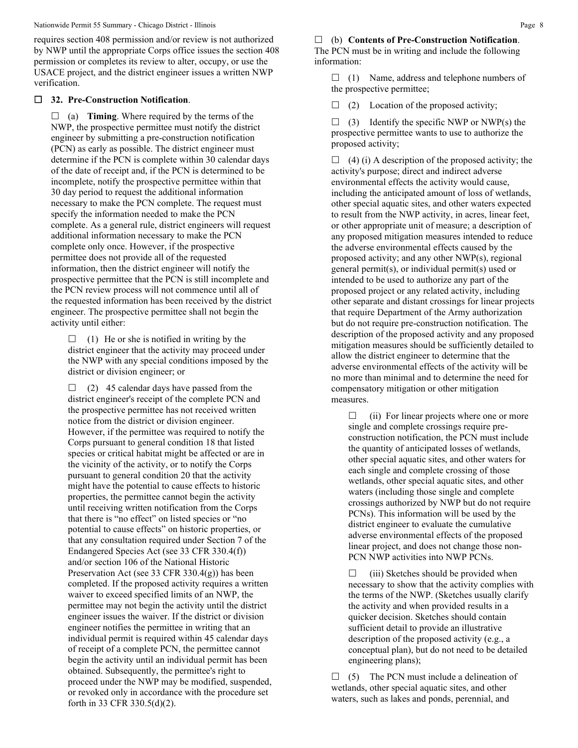requires section 408 permission and/or review is not authorized by NWP until the appropriate Corps office issues the section 408 permission or completes its review to alter, occupy, or use the USACE project, and the district engineer issues a written NWP verification.

## **32. Pre-Construction Notification**.

 $\Box$  (a) **Timing**. Where required by the terms of the NWP, the prospective permittee must notify the district engineer by submitting a pre-construction notification (PCN) as early as possible. The district engineer must determine if the PCN is complete within 30 calendar days of the date of receipt and, if the PCN is determined to be incomplete, notify the prospective permittee within that 30 day period to request the additional information necessary to make the PCN complete. The request must specify the information needed to make the PCN complete. As a general rule, district engineers will request additional information necessary to make the PCN complete only once. However, if the prospective permittee does not provide all of the requested information, then the district engineer will notify the prospective permittee that the PCN is still incomplete and the PCN review process will not commence until all of the requested information has been received by the district engineer. The prospective permittee shall not begin the activity until either:

 $\Box$  (1) He or she is notified in writing by the district engineer that the activity may proceed under the NWP with any special conditions imposed by the district or division engineer; or

 $\Box$  (2) 45 calendar days have passed from the district engineer's receipt of the complete PCN and the prospective permittee has not received written notice from the district or division engineer. However, if the permittee was required to notify the Corps pursuant to general condition 18 that listed species or critical habitat might be affected or are in the vicinity of the activity, or to notify the Corps pursuant to general condition 20 that the activity might have the potential to cause effects to historic properties, the permittee cannot begin the activity until receiving written notification from the Corps that there is "no effect" on listed species or "no potential to cause effects" on historic properties, or that any consultation required under Section 7 of the Endangered Species Act (see 33 CFR 330.4(f)) and/or section 106 of the National Historic Preservation Act (see 33 CFR 330.4(g)) has been completed. If the proposed activity requires a written waiver to exceed specified limits of an NWP, the permittee may not begin the activity until the district engineer issues the waiver. If the district or division engineer notifies the permittee in writing that an individual permit is required within 45 calendar days of receipt of a complete PCN, the permittee cannot begin the activity until an individual permit has been obtained. Subsequently, the permittee's right to proceed under the NWP may be modified, suspended, or revoked only in accordance with the procedure set forth in 33 CFR 330.5(d)(2).

 (b) **Contents of Pre-Construction Notification**. The PCN must be in writing and include the following information:

 $\Box$  (1) Name, address and telephone numbers of the prospective permittee;

 $\Box$  (2) Location of the proposed activity;

 $\Box$  (3) Identify the specific NWP or NWP(s) the prospective permittee wants to use to authorize the proposed activity;

 $\Box$  (4) (i) A description of the proposed activity; the activity's purpose; direct and indirect adverse environmental effects the activity would cause, including the anticipated amount of loss of wetlands, other special aquatic sites, and other waters expected to result from the NWP activity, in acres, linear feet, or other appropriate unit of measure; a description of any proposed mitigation measures intended to reduce the adverse environmental effects caused by the proposed activity; and any other NWP(s), regional general permit(s), or individual permit(s) used or intended to be used to authorize any part of the proposed project or any related activity, including other separate and distant crossings for linear projects that require Department of the Army authorization but do not require pre-construction notification. The description of the proposed activity and any proposed mitigation measures should be sufficiently detailed to allow the district engineer to determine that the adverse environmental effects of the activity will be no more than minimal and to determine the need for compensatory mitigation or other mitigation measures.

 $\Box$  (ii) For linear projects where one or more single and complete crossings require preconstruction notification, the PCN must include the quantity of anticipated losses of wetlands, other special aquatic sites, and other waters for each single and complete crossing of those wetlands, other special aquatic sites, and other waters (including those single and complete crossings authorized by NWP but do not require PCNs). This information will be used by the district engineer to evaluate the cumulative adverse environmental effects of the proposed linear project, and does not change those non-PCN NWP activities into NWP PCNs.

 $\Box$  (iii) Sketches should be provided when necessary to show that the activity complies with the terms of the NWP. (Sketches usually clarify the activity and when provided results in a quicker decision. Sketches should contain sufficient detail to provide an illustrative description of the proposed activity (e.g., a conceptual plan), but do not need to be detailed engineering plans);

 $\Box$  (5) The PCN must include a delineation of wetlands, other special aquatic sites, and other waters, such as lakes and ponds, perennial, and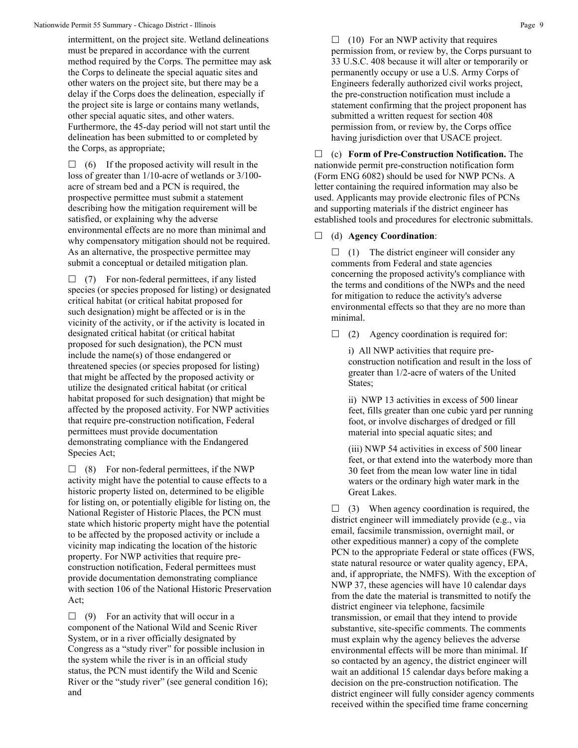intermittent, on the project site. Wetland delineations must be prepared in accordance with the current method required by the Corps. The permittee may ask the Corps to delineate the special aquatic sites and other waters on the project site, but there may be a delay if the Corps does the delineation, especially if the project site is large or contains many wetlands, other special aquatic sites, and other waters. Furthermore, the 45-day period will not start until the delineation has been submitted to or completed by the Corps, as appropriate;

 $\Box$  (6) If the proposed activity will result in the loss of greater than 1/10-acre of wetlands or 3/100 acre of stream bed and a PCN is required, the prospective permittee must submit a statement describing how the mitigation requirement will be satisfied, or explaining why the adverse environmental effects are no more than minimal and why compensatory mitigation should not be required. As an alternative, the prospective permittee may submit a conceptual or detailed mitigation plan.

 $\Box$  (7) For non-federal permittees, if any listed species (or species proposed for listing) or designated critical habitat (or critical habitat proposed for such designation) might be affected or is in the vicinity of the activity, or if the activity is located in designated critical habitat (or critical habitat proposed for such designation), the PCN must include the name(s) of those endangered or threatened species (or species proposed for listing) that might be affected by the proposed activity or utilize the designated critical habitat (or critical habitat proposed for such designation) that might be affected by the proposed activity. For NWP activities that require pre-construction notification, Federal permittees must provide documentation demonstrating compliance with the Endangered Species Act;

 $\Box$  (8) For non-federal permittees, if the NWP activity might have the potential to cause effects to a historic property listed on, determined to be eligible for listing on, or potentially eligible for listing on, the National Register of Historic Places, the PCN must state which historic property might have the potential to be affected by the proposed activity or include a vicinity map indicating the location of the historic property. For NWP activities that require preconstruction notification, Federal permittees must provide documentation demonstrating compliance with section 106 of the National Historic Preservation  $Act$ 

 $\Box$  (9) For an activity that will occur in a component of the National Wild and Scenic River System, or in a river officially designated by Congress as a "study river" for possible inclusion in the system while the river is in an official study status, the PCN must identify the Wild and Scenic River or the "study river" (see general condition 16); and

 $\Box$  (10) For an NWP activity that requires permission from, or review by, the Corps pursuant to 33 U.S.C. 408 because it will alter or temporarily or permanently occupy or use a U.S. Army Corps of Engineers federally authorized civil works project, the pre-construction notification must include a statement confirming that the project proponent has submitted a written request for section 408 permission from, or review by, the Corps office having jurisdiction over that USACE project.

 (c) **Form of Pre-Construction Notification.** The nationwide permit pre-construction notification form (Form ENG 6082) should be used for NWP PCNs. A letter containing the required information may also be used. Applicants may provide electronic files of PCNs and supporting materials if the district engineer has established tools and procedures for electronic submittals.

## (d) **Agency Coordination**:

 $\Box$  (1) The district engineer will consider any comments from Federal and state agencies concerning the proposed activity's compliance with the terms and conditions of the NWPs and the need for mitigation to reduce the activity's adverse environmental effects so that they are no more than minimal.

 $\Box$  (2) Agency coordination is required for:

i) All NWP activities that require preconstruction notification and result in the loss of greater than 1/2-acre of waters of the United States;

ii) NWP 13 activities in excess of 500 linear feet, fills greater than one cubic yard per running foot, or involve discharges of dredged or fill material into special aquatic sites; and

(iii) NWP 54 activities in excess of 500 linear feet, or that extend into the waterbody more than 30 feet from the mean low water line in tidal waters or the ordinary high water mark in the Great Lakes.

 $\Box$  (3) When agency coordination is required, the district engineer will immediately provide (e.g., via email, facsimile transmission, overnight mail, or other expeditious manner) a copy of the complete PCN to the appropriate Federal or state offices (FWS, state natural resource or water quality agency, EPA, and, if appropriate, the NMFS). With the exception of NWP 37, these agencies will have 10 calendar days from the date the material is transmitted to notify the district engineer via telephone, facsimile transmission, or email that they intend to provide substantive, site-specific comments. The comments must explain why the agency believes the adverse environmental effects will be more than minimal. If so contacted by an agency, the district engineer will wait an additional 15 calendar days before making a decision on the pre-construction notification. The district engineer will fully consider agency comments received within the specified time frame concerning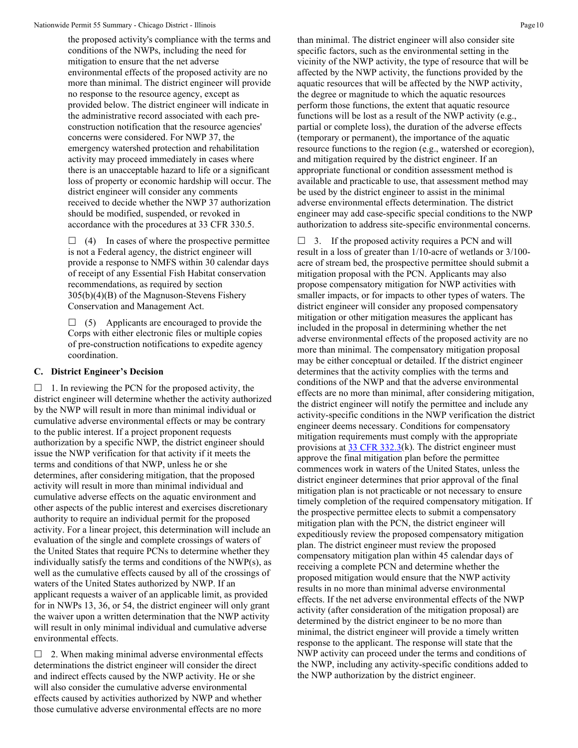the proposed activity's compliance with the terms and conditions of the NWPs, including the need for mitigation to ensure that the net adverse environmental effects of the proposed activity are no more than minimal. The district engineer will provide no response to the resource agency, except as provided below. The district engineer will indicate in the administrative record associated with each preconstruction notification that the resource agencies' concerns were considered. For NWP 37, the emergency watershed protection and rehabilitation activity may proceed immediately in cases where there is an unacceptable hazard to life or a significant loss of property or economic hardship will occur. The district engineer will consider any comments received to decide whether the NWP 37 authorization should be modified, suspended, or revoked in accordance with the procedures at 33 CFR 330.5.

 $\Box$  (4) In cases of where the prospective permittee is not a Federal agency, the district engineer will provide a response to NMFS within 30 calendar days of receipt of any Essential Fish Habitat conservation recommendations, as required by section 305(b)(4)(B) of the Magnuson-Stevens Fishery Conservation and Management Act.

 $\Box$  (5) Applicants are encouraged to provide the Corps with either electronic files or multiple copies of pre-construction notifications to expedite agency coordination.

## **C. District Engineer's Decision**

 $\Box$  1. In reviewing the PCN for the proposed activity, the district engineer will determine whether the activity authorized by the NWP will result in more than minimal individual or cumulative adverse environmental effects or may be contrary to the public interest. If a project proponent requests authorization by a specific NWP, the district engineer should issue the NWP verification for that activity if it meets the terms and conditions of that NWP, unless he or she determines, after considering mitigation, that the proposed activity will result in more than minimal individual and cumulative adverse effects on the aquatic environment and other aspects of the public interest and exercises discretionary authority to require an individual permit for the proposed activity. For a linear project, this determination will include an evaluation of the single and complete crossings of waters of the United States that require PCNs to determine whether they individually satisfy the terms and conditions of the  $NWP(s)$ , as well as the cumulative effects caused by all of the crossings of waters of the United States authorized by NWP. If an applicant requests a waiver of an applicable limit, as provided for in NWPs 13, 36, or 54, the district engineer will only grant the waiver upon a written determination that the NWP activity will result in only minimal individual and cumulative adverse environmental effects.

 $\Box$  2. When making minimal adverse environmental effects determinations the district engineer will consider the direct and indirect effects caused by the NWP activity. He or she will also consider the cumulative adverse environmental effects caused by activities authorized by NWP and whether those cumulative adverse environmental effects are no more

than minimal. The district engineer will also consider site specific factors, such as the environmental setting in the vicinity of the NWP activity, the type of resource that will be affected by the NWP activity, the functions provided by the aquatic resources that will be affected by the NWP activity, the degree or magnitude to which the aquatic resources perform those functions, the extent that aquatic resource functions will be lost as a result of the NWP activity (e.g., partial or complete loss), the duration of the adverse effects (temporary or permanent), the importance of the aquatic resource functions to the region (e.g., watershed or ecoregion), and mitigation required by the district engineer. If an appropriate functional or condition assessment method is available and practicable to use, that assessment method may be used by the district engineer to assist in the minimal adverse environmental effects determination. The district engineer may add case-specific special conditions to the NWP authorization to address site-specific environmental concerns.

 $\Box$  3. If the proposed activity requires a PCN and will result in a loss of greater than 1/10-acre of wetlands or 3/100 acre of stream bed, the prospective permittee should submit a mitigation proposal with the PCN. Applicants may also propose compensatory mitigation for NWP activities with smaller impacts, or for impacts to other types of waters. The district engineer will consider any proposed compensatory mitigation or other mitigation measures the applicant has included in the proposal in determining whether the net adverse environmental effects of the proposed activity are no more than minimal. The compensatory mitigation proposal may be either conceptual or detailed. If the district engineer determines that the activity complies with the terms and conditions of the NWP and that the adverse environmental effects are no more than minimal, after considering mitigation, the district engineer will notify the permittee and include any activity-specific conditions in the NWP verification the district engineer deems necessary. Conditions for compensatory mitigation requirements must comply with the appropriate provisions at  $33 \text{ CFR } 332.3(k)$ . The district engineer must approve the final mitigation plan before the permittee commences work in waters of the United States, unless the district engineer determines that prior approval of the final mitigation plan is not practicable or not necessary to ensure timely completion of the required compensatory mitigation. If the prospective permittee elects to submit a compensatory mitigation plan with the PCN, the district engineer will expeditiously review the proposed compensatory mitigation plan. The district engineer must review the proposed compensatory mitigation plan within 45 calendar days of receiving a complete PCN and determine whether the proposed mitigation would ensure that the NWP activity results in no more than minimal adverse environmental effects. If the net adverse environmental effects of the NWP activity (after consideration of the mitigation proposal) are determined by the district engineer to be no more than minimal, the district engineer will provide a timely written response to the applicant. The response will state that the NWP activity can proceed under the terms and conditions of the NWP, including any activity-specific conditions added to the NWP authorization by the district engineer.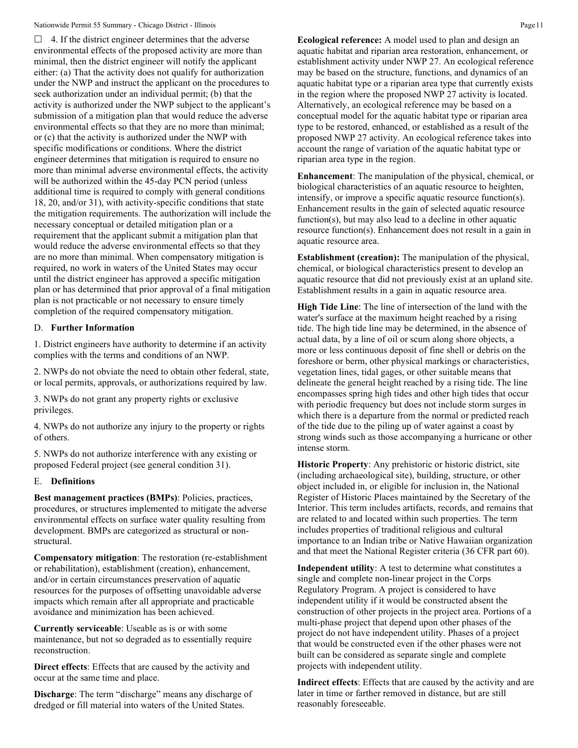$\Box$  4. If the district engineer determines that the adverse environmental effects of the proposed activity are more than minimal, then the district engineer will notify the applicant either: (a) That the activity does not qualify for authorization under the NWP and instruct the applicant on the procedures to seek authorization under an individual permit; (b) that the activity is authorized under the NWP subject to the applicant's submission of a mitigation plan that would reduce the adverse environmental effects so that they are no more than minimal; or (c) that the activity is authorized under the NWP with specific modifications or conditions. Where the district engineer determines that mitigation is required to ensure no more than minimal adverse environmental effects, the activity will be authorized within the 45-day PCN period (unless additional time is required to comply with general conditions 18, 20, and/or 31), with activity-specific conditions that state the mitigation requirements. The authorization will include the necessary conceptual or detailed mitigation plan or a requirement that the applicant submit a mitigation plan that would reduce the adverse environmental effects so that they are no more than minimal. When compensatory mitigation is required, no work in waters of the United States may occur until the district engineer has approved a specific mitigation plan or has determined that prior approval of a final mitigation plan is not practicable or not necessary to ensure timely completion of the required compensatory mitigation.

### D. **Further Information**

1. District engineers have authority to determine if an activity complies with the terms and conditions of an NWP.

2. NWPs do not obviate the need to obtain other federal, state, or local permits, approvals, or authorizations required by law.

3. NWPs do not grant any property rights or exclusive privileges.

4. NWPs do not authorize any injury to the property or rights of others.

5. NWPs do not authorize interference with any existing or proposed Federal project (see general condition 31).

#### E. **Definitions**

**Best management practices (BMPs)**: Policies, practices, procedures, or structures implemented to mitigate the adverse environmental effects on surface water quality resulting from development. BMPs are categorized as structural or nonstructural.

**Compensatory mitigation**: The restoration (re-establishment or rehabilitation), establishment (creation), enhancement, and/or in certain circumstances preservation of aquatic resources for the purposes of offsetting unavoidable adverse impacts which remain after all appropriate and practicable avoidance and minimization has been achieved.

**Currently serviceable**: Useable as is or with some maintenance, but not so degraded as to essentially require reconstruction.

**Direct effects**: Effects that are caused by the activity and occur at the same time and place.

**Discharge**: The term "discharge" means any discharge of dredged or fill material into waters of the United States.

**Enhancement**: The manipulation of the physical, chemical, or biological characteristics of an aquatic resource to heighten, intensify, or improve a specific aquatic resource function(s). Enhancement results in the gain of selected aquatic resource function(s), but may also lead to a decline in other aquatic resource function(s). Enhancement does not result in a gain in aquatic resource area.

riparian area type in the region.

**Establishment (creation):** The manipulation of the physical, chemical, or biological characteristics present to develop an aquatic resource that did not previously exist at an upland site. Establishment results in a gain in aquatic resource area.

**High Tide Line**: The line of intersection of the land with the water's surface at the maximum height reached by a rising tide. The high tide line may be determined, in the absence of actual data, by a line of oil or scum along shore objects, a more or less continuous deposit of fine shell or debris on the foreshore or berm, other physical markings or characteristics, vegetation lines, tidal gages, or other suitable means that delineate the general height reached by a rising tide. The line encompasses spring high tides and other high tides that occur with periodic frequency but does not include storm surges in which there is a departure from the normal or predicted reach of the tide due to the piling up of water against a coast by strong winds such as those accompanying a hurricane or other intense storm.

**Historic Property**: Any prehistoric or historic district, site (including archaeological site), building, structure, or other object included in, or eligible for inclusion in, the National Register of Historic Places maintained by the Secretary of the Interior. This term includes artifacts, records, and remains that are related to and located within such properties. The term includes properties of traditional religious and cultural importance to an Indian tribe or Native Hawaiian organization and that meet the National Register criteria (36 CFR part 60).

**Independent utility**: A test to determine what constitutes a single and complete non-linear project in the Corps Regulatory Program. A project is considered to have independent utility if it would be constructed absent the construction of other projects in the project area. Portions of a multi-phase project that depend upon other phases of the project do not have independent utility. Phases of a project that would be constructed even if the other phases were not built can be considered as separate single and complete projects with independent utility.

**Indirect effects**: Effects that are caused by the activity and are later in time or farther removed in distance, but are still reasonably foreseeable.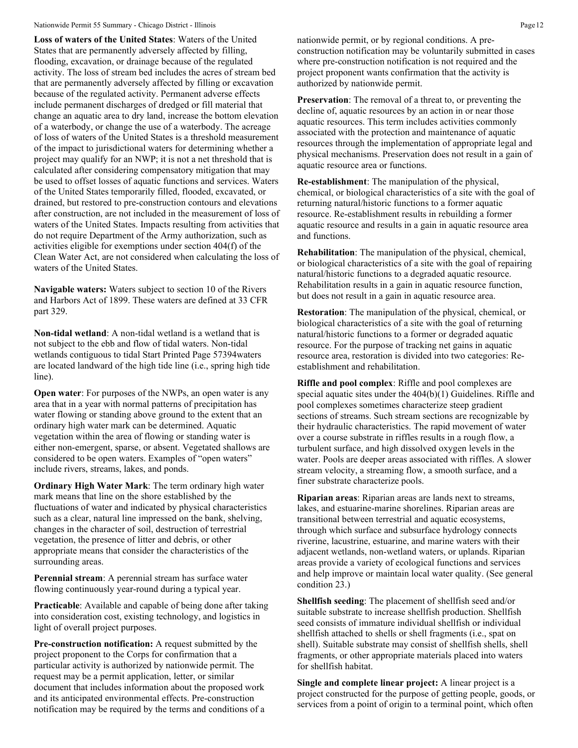**Loss of waters of the United States**: Waters of the United States that are permanently adversely affected by filling, flooding, excavation, or drainage because of the regulated activity. The loss of stream bed includes the acres of stream bed that are permanently adversely affected by filling or excavation because of the regulated activity. Permanent adverse effects include permanent discharges of dredged or fill material that change an aquatic area to dry land, increase the bottom elevation of a waterbody, or change the use of a waterbody. The acreage of loss of waters of the United States is a threshold measurement of the impact to jurisdictional waters for determining whether a project may qualify for an NWP; it is not a net threshold that is calculated after considering compensatory mitigation that may be used to offset losses of aquatic functions and services. Waters of the United States temporarily filled, flooded, excavated, or drained, but restored to pre-construction contours and elevations after construction, are not included in the measurement of loss of waters of the United States. Impacts resulting from activities that do not require Department of the Army authorization, such as activities eligible for exemptions under section 404(f) of the Clean Water Act, are not considered when calculating the loss of waters of the United States.

**Navigable waters:** Waters subject to section 10 of the Rivers and Harbors Act of 1899. These waters are defined at 33 CFR part 329.

**Non-tidal wetland**: A non-tidal wetland is a wetland that is not subject to the ebb and flow of tidal waters. Non-tidal wetlands contiguous to tidal Start Printed Page 57394waters are located landward of the high tide line (i.e., spring high tide line).

**Open water:** For purposes of the NWPs, an open water is any area that in a year with normal patterns of precipitation has water flowing or standing above ground to the extent that an ordinary high water mark can be determined. Aquatic vegetation within the area of flowing or standing water is either non-emergent, sparse, or absent. Vegetated shallows are considered to be open waters. Examples of "open waters" include rivers, streams, lakes, and ponds.

**Ordinary High Water Mark**: The term ordinary high water mark means that line on the shore established by the fluctuations of water and indicated by physical characteristics such as a clear, natural line impressed on the bank, shelving, changes in the character of soil, destruction of terrestrial vegetation, the presence of litter and debris, or other appropriate means that consider the characteristics of the surrounding areas.

**Perennial stream**: A perennial stream has surface water flowing continuously year-round during a typical year.

**Practicable**: Available and capable of being done after taking into consideration cost, existing technology, and logistics in light of overall project purposes.

**Pre-construction notification:** A request submitted by the project proponent to the Corps for confirmation that a particular activity is authorized by nationwide permit. The request may be a permit application, letter, or similar document that includes information about the proposed work and its anticipated environmental effects. Pre-construction notification may be required by the terms and conditions of a nationwide permit, or by regional conditions. A preconstruction notification may be voluntarily submitted in cases where pre-construction notification is not required and the project proponent wants confirmation that the activity is authorized by nationwide permit.

**Preservation:** The removal of a threat to, or preventing the decline of, aquatic resources by an action in or near those aquatic resources. This term includes activities commonly associated with the protection and maintenance of aquatic resources through the implementation of appropriate legal and physical mechanisms. Preservation does not result in a gain of aquatic resource area or functions.

**Re-establishment**: The manipulation of the physical, chemical, or biological characteristics of a site with the goal of returning natural/historic functions to a former aquatic resource. Re-establishment results in rebuilding a former aquatic resource and results in a gain in aquatic resource area and functions.

**Rehabilitation**: The manipulation of the physical, chemical, or biological characteristics of a site with the goal of repairing natural/historic functions to a degraded aquatic resource. Rehabilitation results in a gain in aquatic resource function, but does not result in a gain in aquatic resource area.

**Restoration**: The manipulation of the physical, chemical, or biological characteristics of a site with the goal of returning natural/historic functions to a former or degraded aquatic resource. For the purpose of tracking net gains in aquatic resource area, restoration is divided into two categories: Reestablishment and rehabilitation.

**Riffle and pool complex**: Riffle and pool complexes are special aquatic sites under the 404(b)(1) Guidelines. Riffle and pool complexes sometimes characterize steep gradient sections of streams. Such stream sections are recognizable by their hydraulic characteristics. The rapid movement of water over a course substrate in riffles results in a rough flow, a turbulent surface, and high dissolved oxygen levels in the water. Pools are deeper areas associated with riffles. A slower stream velocity, a streaming flow, a smooth surface, and a finer substrate characterize pools.

**Riparian areas**: Riparian areas are lands next to streams, lakes, and estuarine-marine shorelines. Riparian areas are transitional between terrestrial and aquatic ecosystems, through which surface and subsurface hydrology connects riverine, lacustrine, estuarine, and marine waters with their adjacent wetlands, non-wetland waters, or uplands. Riparian areas provide a variety of ecological functions and services and help improve or maintain local water quality. (See general condition 23.)

**Shellfish seeding**: The placement of shellfish seed and/or suitable substrate to increase shellfish production. Shellfish seed consists of immature individual shellfish or individual shellfish attached to shells or shell fragments (i.e., spat on shell). Suitable substrate may consist of shellfish shells, shell fragments, or other appropriate materials placed into waters for shellfish habitat.

**Single and complete linear project:** A linear project is a project constructed for the purpose of getting people, goods, or services from a point of origin to a terminal point, which often